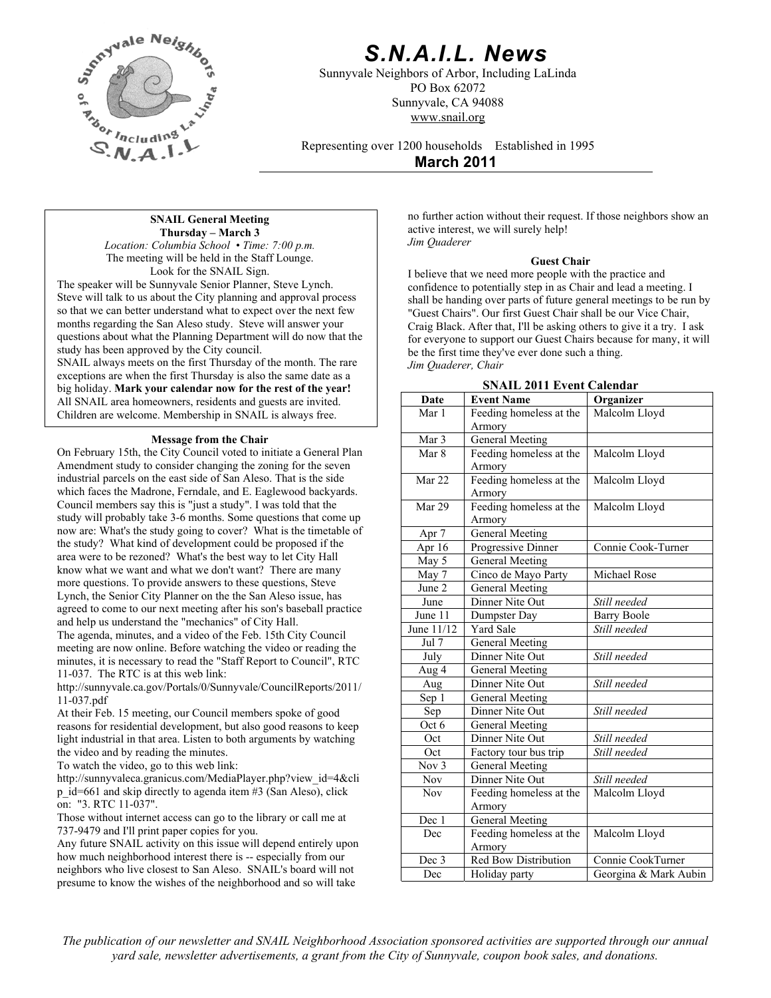

# *S.N.A.I.L. News*

Sunnyvale Neighbors of Arbor, Including LaLinda PO Box 62072 Sunnyvale, CA 94088 www.snail.org

Representing over 1200 households Established in 1995

**March 2011**

#### **SNAIL General Meeting Thursday – March 3**

*Location: Columbia School • Time: 7:00 p.m.* The meeting will be held in the Staff Lounge. Look for the SNAIL Sign.

The speaker will be Sunnyvale Senior Planner, Steve Lynch. Steve will talk to us about the City planning and approval process so that we can better understand what to expect over the next few months regarding the San Aleso study. Steve will answer your questions about what the Planning Department will do now that the study has been approved by the City council.

SNAIL always meets on the first Thursday of the month. The rare exceptions are when the first Thursday is also the same date as a big holiday. **Mark your calendar now for the rest of the year!** All SNAIL area homeowners, residents and guests are invited. Children are welcome. Membership in SNAIL is always free.

#### **Message from the Chair**

On February 15th, the City Council voted to initiate a General Plan Amendment study to consider changing the zoning for the seven industrial parcels on the east side of San Aleso. That is the side which faces the Madrone, Ferndale, and E. Eaglewood backyards. Council members say this is "just a study". I was told that the study will probably take 3-6 months. Some questions that come up now are: What's the study going to cover? What is the timetable of the study? What kind of development could be proposed if the area were to be rezoned? What's the best way to let City Hall know what we want and what we don't want? There are many more questions. To provide answers to these questions, Steve Lynch, the Senior City Planner on the the San Aleso issue, has agreed to come to our next meeting after his son's baseball practice and help us understand the "mechanics" of City Hall.

The agenda, minutes, and a video of the Feb. 15th City Council meeting are now online. Before watching the video or reading the minutes, it is necessary to read the "Staff Report to Council", RTC 11-037. The RTC is at this web link:

http://sunnyvale.ca.gov/Portals/0/Sunnyvale/CouncilReports/2011/ 11-037.pdf

At their Feb. 15 meeting, our Council members spoke of good reasons for residential development, but also good reasons to keep light industrial in that area. Listen to both arguments by watching the video and by reading the minutes.

To watch the video, go to this web link:

http://sunnyvaleca.granicus.com/MediaPlayer.php?view\_id=4&cli p\_id=661 and skip directly to agenda item #3 (San Aleso), click on: "3. RTC 11-037".

Those without internet access can go to the library or call me at 737-9479 and I'll print paper copies for you.

Any future SNAIL activity on this issue will depend entirely upon how much neighborhood interest there is -- especially from our neighbors who live closest to San Aleso. SNAIL's board will not presume to know the wishes of the neighborhood and so will take

no further action without their request. If those neighbors show an active interest, we will surely help! *Jim Quaderer* 

#### **Guest Chair**

I believe that we need more people with the practice and confidence to potentially step in as Chair and lead a meeting. I shall be handing over parts of future general meetings to be run by "Guest Chairs". Our first Guest Chair shall be our Vice Chair, Craig Black. After that, I'll be asking others to give it a try. I ask for everyone to support our Guest Chairs because for many, it will be the first time they've ever done such a thing. *Jim Quaderer, Chair* 

|  |  |  | SNAIL 2011 Event Calendar |
|--|--|--|---------------------------|
|--|--|--|---------------------------|

| Date             | <b>Event Name</b>       | Organizer             |  |
|------------------|-------------------------|-----------------------|--|
| Mar 1            | Feeding homeless at the | Malcolm Lloyd         |  |
|                  | Armory                  |                       |  |
| Mar 3            | <b>General Meeting</b>  |                       |  |
| Mar 8            | Feeding homeless at the | Malcolm Lloyd         |  |
|                  | Armory                  |                       |  |
| Mar $22$         | Feeding homeless at the | Malcolm Lloyd         |  |
|                  | Armory                  |                       |  |
| Mar 29           | Feeding homeless at the | Malcolm Lloyd         |  |
|                  | Armory                  |                       |  |
| Apr 7            | General Meeting         |                       |  |
| Apr 16           | Progressive Dinner      | Connie Cook-Turner    |  |
| May 5            | <b>General Meeting</b>  |                       |  |
| May 7            | Cinco de Mayo Party     | Michael Rose          |  |
| June 2           | <b>General Meeting</b>  |                       |  |
| June             | Dinner Nite Out         | Still needed          |  |
| June 11          | Dumpster Day            | <b>Barry Boole</b>    |  |
| June 11/12       | <b>Yard Sale</b>        | Still needed          |  |
| Jul 7            | General Meeting         |                       |  |
| July             | Dinner Nite Out         | Still needed          |  |
| Aug 4            | General Meeting         |                       |  |
| Aug              | Dinner Nite Out         | Still needed          |  |
| Sep 1            | General Meeting         |                       |  |
| Sep              | Dinner Nite Out         | Still needed          |  |
| Oct 6            | General Meeting         |                       |  |
| Oct              | Dinner Nite Out         | Still needed          |  |
| Oct              | Factory tour bus trip   | Still needed          |  |
| Nov <sub>3</sub> | <b>General Meeting</b>  |                       |  |
| <b>Nov</b>       | Dinner Nite Out         | Still needed          |  |
| <b>Nov</b>       | Feeding homeless at the | Malcolm Lloyd         |  |
|                  | Armory                  |                       |  |
| Dec 1            | <b>General Meeting</b>  |                       |  |
| Dec              | Feeding homeless at the | Malcolm Lloyd         |  |
|                  | Armory                  |                       |  |
| Dec 3            | Red Bow Distribution    | Connie CookTurner     |  |
| Dec              | Holiday party           | Georgina & Mark Aubin |  |

*The publication of our newsletter and SNAIL Neighborhood Association sponsored activities are supported through our annual yard sale, newsletter advertisements, a grant from the City of Sunnyvale, coupon book sales, and donations.*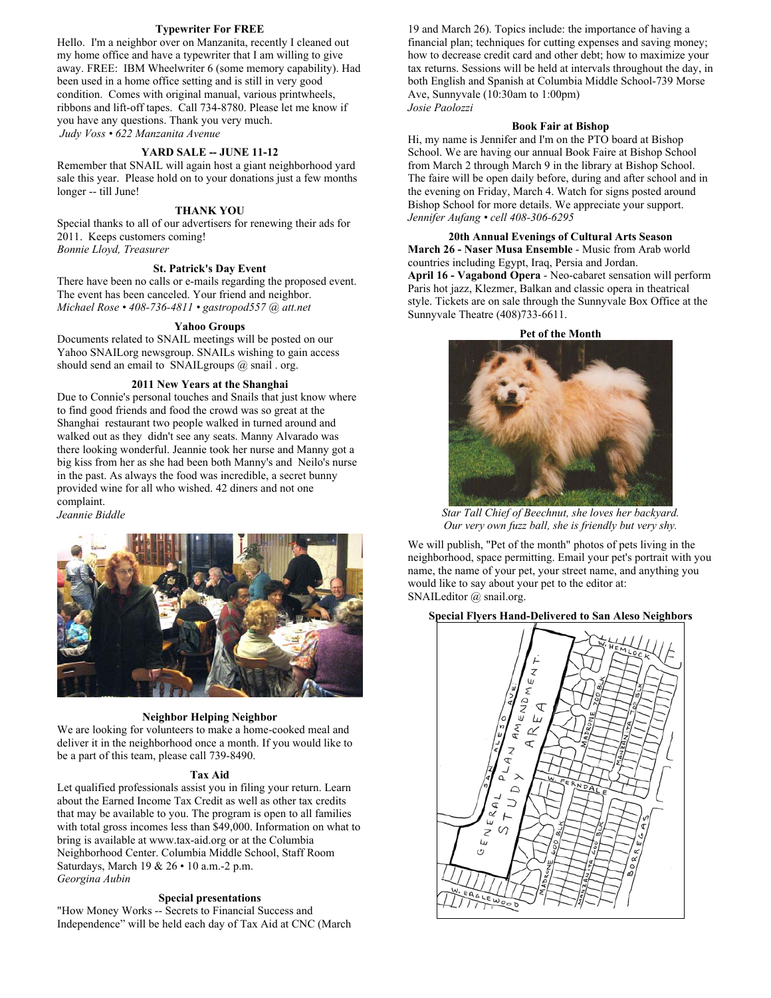#### **Typewriter For FREE**

Hello. I'm a neighbor over on Manzanita, recently I cleaned out my home office and have a typewriter that I am willing to give away. FREE: IBM Wheelwriter 6 (some memory capability). Had been used in a home office setting and is still in very good condition. Comes with original manual, various printwheels, ribbons and lift-off tapes. Call 734-8780. Please let me know if you have any questions. Thank you very much. *Judy Voss • 622 Manzanita Avenue* 

#### **YARD SALE -- JUNE 11-12**

Remember that SNAIL will again host a giant neighborhood yard sale this year. Please hold on to your donations just a few months longer -- till June!

#### **THANK YOU**

Special thanks to all of our advertisers for renewing their ads for 2011. Keeps customers coming! *Bonnie Lloyd, Treasurer*

#### **St. Patrick's Day Event**

There have been no calls or e-mails regarding the proposed event. The event has been canceled. Your friend and neighbor. *Michael Rose • 408-736-4811 • gastropod557 @ att.net*

#### **Yahoo Groups**

Documents related to SNAIL meetings will be posted on our Yahoo SNAILorg newsgroup. SNAILs wishing to gain access should send an email to SNAIL groups  $(a)$  snail . org.

#### **2011 New Years at the Shanghai**

Due to Connie's personal touches and Snails that just know where to find good friends and food the crowd was so great at the Shanghai restaurant two people walked in turned around and walked out as they didn't see any seats. Manny Alvarado was there looking wonderful. Jeannie took her nurse and Manny got a big kiss from her as she had been both Manny's and Neilo's nurse in the past. As always the food was incredible, a secret bunny provided wine for all who wished. 42 diners and not one complaint. *Jeannie Biddle* 



#### **Neighbor Helping Neighbor**

We are looking for volunteers to make a home-cooked meal and deliver it in the neighborhood once a month. If you would like to be a part of this team, please call 739-8490.

#### **Tax Aid**

Let qualified professionals assist you in filing your return. Learn about the Earned Income Tax Credit as well as other tax credits that may be available to you. The program is open to all families with total gross incomes less than \$49,000. Information on what to bring is available at www.tax-aid.org or at the Columbia Neighborhood Center. Columbia Middle School, Staff Room Saturdays, March 19 & 26 • 10 a.m.-2 p.m. *Georgina Aubin* 

#### **Special presentations**

"How Money Works -- Secrets to Financial Success and Independence" will be held each day of Tax Aid at CNC (March

19 and March 26). Topics include: the importance of having a financial plan; techniques for cutting expenses and saving money; how to decrease credit card and other debt; how to maximize your tax returns. Sessions will be held at intervals throughout the day, in both English and Spanish at Columbia Middle School-739 Morse Ave, Sunnyvale (10:30am to 1:00pm) *Josie Paolozzi*

#### **Book Fair at Bishop**

Hi, my name is Jennifer and I'm on the PTO board at Bishop School. We are having our annual Book Faire at Bishop School from March 2 through March 9 in the library at Bishop School. The faire will be open daily before, during and after school and in the evening on Friday, March 4. Watch for signs posted around Bishop School for more details. We appreciate your support. *Jennifer Aufang • cell 408-306-6295* 

**20th Annual Evenings of Cultural Arts Season March 26 - Naser Musa Ensemble** - Music from Arab world countries including Egypt, Iraq, Persia and Jordan. **April 16 - Vagabond Opera** - Neo-cabaret sensation will perform Paris hot jazz, Klezmer, Balkan and classic opera in theatrical style. Tickets are on sale through the Sunnyvale Box Office at the Sunnyvale Theatre (408)733-6611.

**Pet of the Month** 



*Star Tall Chief of Beechnut, she loves her backyard. Our very own fuzz ball, she is friendly but very shy.* 

We will publish, "Pet of the month" photos of pets living in the neighborhood, space permitting. Email your pet's portrait with you name, the name of your pet, your street name, and anything you would like to say about your pet to the editor at: SNAILeditor @ snail.org.

#### **Special Flyers Hand-Delivered to San Aleso Neighbors**

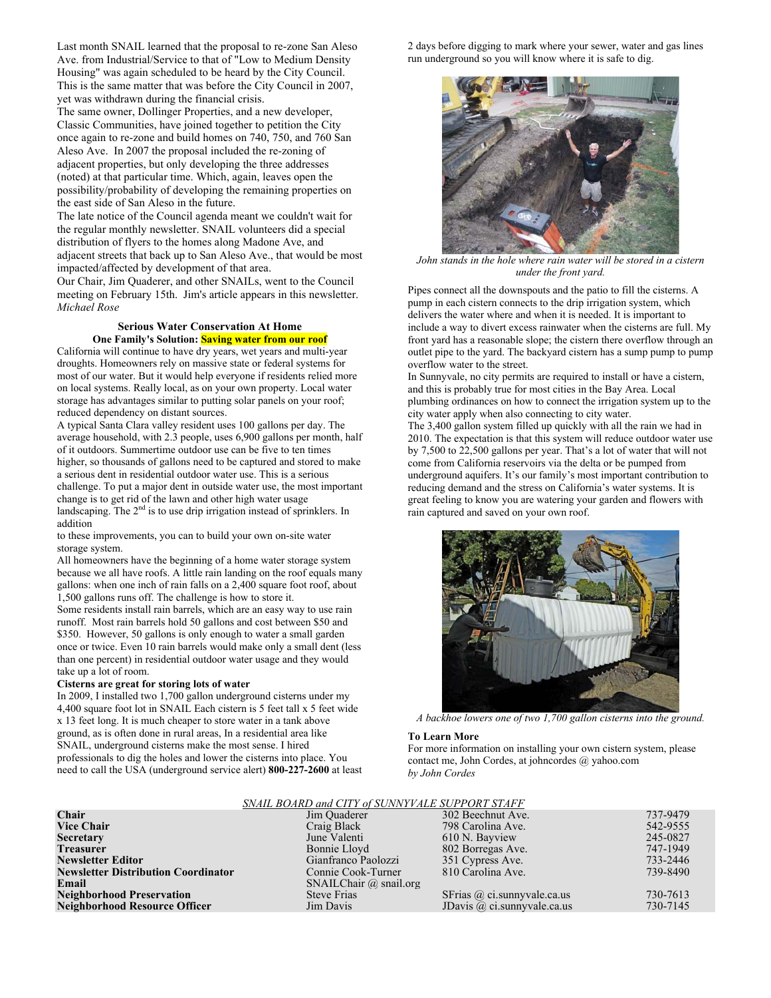Last month SNAIL learned that the proposal to re-zone San Aleso Ave. from Industrial/Service to that of "Low to Medium Density Housing" was again scheduled to be heard by the City Council. This is the same matter that was before the City Council in 2007, yet was withdrawn during the financial crisis.

The same owner, Dollinger Properties, and a new developer, Classic Communities, have joined together to petition the City once again to re-zone and build homes on 740, 750, and 760 San Aleso Ave. In 2007 the proposal included the re-zoning of adjacent properties, but only developing the three addresses (noted) at that particular time. Which, again, leaves open the possibility/probability of developing the remaining properties on the east side of San Aleso in the future.

The late notice of the Council agenda meant we couldn't wait for the regular monthly newsletter. SNAIL volunteers did a special distribution of flyers to the homes along Madone Ave, and adjacent streets that back up to San Aleso Ave., that would be most impacted/affected by development of that area.

Our Chair, Jim Quaderer, and other SNAILs, went to the Council meeting on February 15th. Jim's article appears in this newsletter. *Michael Rose* 

#### **Serious Water Conservation At Home One Family's Solution: Saving water from our roof**

California will continue to have dry years, wet years and multi-year droughts. Homeowners rely on massive state or federal systems for most of our water. But it would help everyone if residents relied more on local systems. Really local, as on your own property. Local water storage has advantages similar to putting solar panels on your roof; reduced dependency on distant sources.

A typical Santa Clara valley resident uses 100 gallons per day. The average household, with 2.3 people, uses 6,900 gallons per month, half of it outdoors. Summertime outdoor use can be five to ten times higher, so thousands of gallons need to be captured and stored to make a serious dent in residential outdoor water use. This is a serious challenge. To put a major dent in outside water use, the most important change is to get rid of the lawn and other high water usage landscaping. The 2<sup>nd</sup> is to use drip irrigation instead of sprinklers. In addition

to these improvements, you can to build your own on-site water storage system.

All homeowners have the beginning of a home water storage system because we all have roofs. A little rain landing on the roof equals many gallons: when one inch of rain falls on a 2,400 square foot roof, about 1,500 gallons runs off. The challenge is how to store it.

Some residents install rain barrels, which are an easy way to use rain runoff. Most rain barrels hold 50 gallons and cost between \$50 and \$350. However, 50 gallons is only enough to water a small garden once or twice. Even 10 rain barrels would make only a small dent (less than one percent) in residential outdoor water usage and they would take up a lot of room.

#### **Cisterns are great for storing lots of water**

In 2009, I installed two 1,700 gallon underground cisterns under my 4,400 square foot lot in SNAIL Each cistern is 5 feet tall x 5 feet wide x 13 feet long. It is much cheaper to store water in a tank above ground, as is often done in rural areas, In a residential area like SNAIL, underground cisterns make the most sense. I hired professionals to dig the holes and lower the cisterns into place. You need to call the USA (underground service alert) **800-227-2600** at least 2 days before digging to mark where your sewer, water and gas lines run underground so you will know where it is safe to dig.



*John stands in the hole where rain water will be stored in a cistern under the front yard.* 

Pipes connect all the downspouts and the patio to fill the cisterns. A pump in each cistern connects to the drip irrigation system, which delivers the water where and when it is needed. It is important to include a way to divert excess rainwater when the cisterns are full. My front yard has a reasonable slope; the cistern there overflow through an outlet pipe to the yard. The backyard cistern has a sump pump to pump overflow water to the street.

In Sunnyvale, no city permits are required to install or have a cistern, and this is probably true for most cities in the Bay Area. Local plumbing ordinances on how to connect the irrigation system up to the city water apply when also connecting to city water.

The 3,400 gallon system filled up quickly with all the rain we had in 2010. The expectation is that this system will reduce outdoor water use by 7,500 to 22,500 gallons per year. That's a lot of water that will not come from California reservoirs via the delta or be pumped from underground aquifers. It's our family's most important contribution to reducing demand and the stress on California's water systems. It is great feeling to know you are watering your garden and flowers with rain captured and saved on your own roof.



*A backhoe lowers one of two 1,700 gallon cisterns into the ground.* 

#### **To Learn More**

For more information on installing your own cistern system, please contact me, John Cordes, at johncordes @ yahoo.com *by John Cordes*

#### *SNAIL BOARD and CITY of SUNNYVALE SUPPORT STAFF*

| <u>SIVAILE DOARD UNU CH I OFSCHWEFTEE SCH I ORT SHAFT</u> |                               |                                    |          |  |  |
|-----------------------------------------------------------|-------------------------------|------------------------------------|----------|--|--|
| Chair                                                     | Jim Quaderer                  | 302 Beechnut Ave.                  | 737-9479 |  |  |
| <b>Vice Chair</b>                                         | Craig Black                   | 798 Carolina Ave.                  | 542-9555 |  |  |
| <b>Secretary</b>                                          | June Valenti                  | 610 N. Bayview                     | 245-0827 |  |  |
| <b>Treasurer</b>                                          | Bonnie Lloyd                  | 802 Borregas Ave.                  | 747-1949 |  |  |
| <b>Newsletter Editor</b>                                  | Gianfranco Paolozzi           | 351 Cypress Ave.                   | 733-2446 |  |  |
| <b>Newsletter Distribution Coordinator</b>                | Connie Cook-Turner            | 810 Carolina Ave.                  | 739-8490 |  |  |
| Email                                                     | SNAILChair $\omega$ snail.org |                                    |          |  |  |
| <b>Neighborhood Preservation</b>                          | <b>Steve Frias</b>            | SFrias $\omega$ ci.sunnyvale.ca.us | 730-7613 |  |  |
| <b>Neighborhood Resource Officer</b>                      | Jim Davis                     | JDavis $\omega$ ci.sunnyvale.ca.us | 730-7145 |  |  |